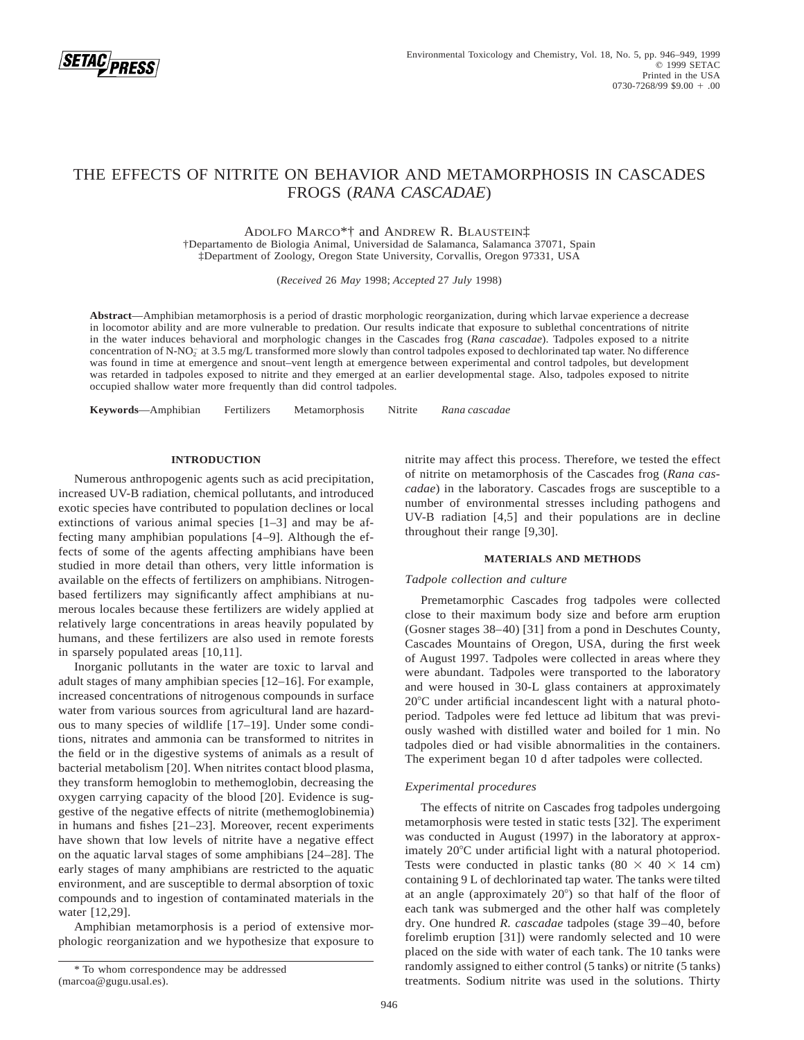

# THE EFFECTS OF NITRITE ON BEHAVIOR AND METAMORPHOSIS IN CASCADES FROGS (*RANA CASCADAE*)

ADOLFO MARCO\*† and ANDREW R. BLAUSTEIN‡ †Departamento de Biologia Animal, Universidad de Salamanca, Salamanca 37071, Spain ‡Department of Zoology, Oregon State University, Corvallis, Oregon 97331, USA

(*Received* 26 *May* 1998; *Accepted* 27 *July* 1998)

**Abstract**—Amphibian metamorphosis is a period of drastic morphologic reorganization, during which larvae experience a decrease in locomotor ability and are more vulnerable to predation. Our results indicate that exposure to sublethal concentrations of nitrite in the water induces behavioral and morphologic changes in the Cascades frog (*Rana cascadae*). Tadpoles exposed to a nitrite concentration of N-NO<sub>2</sub> at 3.5 mg/L transformed more slowly than control tadpoles exposed to dechlorinated tap water. No difference was found in time at emergence and snout–vent length at emergence between experimental and control tadpoles, but development was retarded in tadpoles exposed to nitrite and they emerged at an earlier developmental stage. Also, tadpoles exposed to nitrite occupied shallow water more frequently than did control tadpoles.

**Keywords**—Amphibian Fertilizers Metamorphosis Nitrite *Rana cascadae*

# **INTRODUCTION**

Numerous anthropogenic agents such as acid precipitation, increased UV-B radiation, chemical pollutants, and introduced exotic species have contributed to population declines or local extinctions of various animal species [1–3] and may be affecting many amphibian populations [4–9]. Although the effects of some of the agents affecting amphibians have been studied in more detail than others, very little information is available on the effects of fertilizers on amphibians. Nitrogenbased fertilizers may significantly affect amphibians at numerous locales because these fertilizers are widely applied at relatively large concentrations in areas heavily populated by humans, and these fertilizers are also used in remote forests in sparsely populated areas [10,11].

Inorganic pollutants in the water are toxic to larval and adult stages of many amphibian species [12–16]. For example, increased concentrations of nitrogenous compounds in surface water from various sources from agricultural land are hazardous to many species of wildlife [17–19]. Under some conditions, nitrates and ammonia can be transformed to nitrites in the field or in the digestive systems of animals as a result of bacterial metabolism [20]. When nitrites contact blood plasma, they transform hemoglobin to methemoglobin, decreasing the oxygen carrying capacity of the blood [20]. Evidence is suggestive of the negative effects of nitrite (methemoglobinemia) in humans and fishes [21–23]. Moreover, recent experiments have shown that low levels of nitrite have a negative effect on the aquatic larval stages of some amphibians [24–28]. The early stages of many amphibians are restricted to the aquatic environment, and are susceptible to dermal absorption of toxic compounds and to ingestion of contaminated materials in the water [12,29].

Amphibian metamorphosis is a period of extensive morphologic reorganization and we hypothesize that exposure to nitrite may affect this process. Therefore, we tested the effect of nitrite on metamorphosis of the Cascades frog (*Rana cascadae*) in the laboratory. Cascades frogs are susceptible to a number of environmental stresses including pathogens and UV-B radiation [4,5] and their populations are in decline throughout their range [9,30].

## **MATERIALS AND METHODS**

#### *Tadpole collection and culture*

Premetamorphic Cascades frog tadpoles were collected close to their maximum body size and before arm eruption (Gosner stages 38–40) [31] from a pond in Deschutes County, Cascades Mountains of Oregon, USA, during the first week of August 1997. Tadpoles were collected in areas where they were abundant. Tadpoles were transported to the laboratory and were housed in 30-L glass containers at approximately  $20^{\circ}$ C under artificial incandescent light with a natural photoperiod. Tadpoles were fed lettuce ad libitum that was previously washed with distilled water and boiled for 1 min. No tadpoles died or had visible abnormalities in the containers. The experiment began 10 d after tadpoles were collected.

# *Experimental procedures*

The effects of nitrite on Cascades frog tadpoles undergoing metamorphosis were tested in static tests [32]. The experiment was conducted in August (1997) in the laboratory at approximately 20°C under artificial light with a natural photoperiod. Tests were conducted in plastic tanks  $(80 \times 40 \times 14 \text{ cm})$ containing 9 L of dechlorinated tap water. The tanks were tilted at an angle (approximately  $20^{\circ}$ ) so that half of the floor of each tank was submerged and the other half was completely dry. One hundred *R. cascadae* tadpoles (stage 39–40, before forelimb eruption [31]) were randomly selected and 10 were placed on the side with water of each tank. The 10 tanks were randomly assigned to either control (5 tanks) or nitrite (5 tanks) treatments. Sodium nitrite was used in the solutions. Thirty

<sup>\*</sup> To whom correspondence may be addressed (marcoa@gugu.usal.es).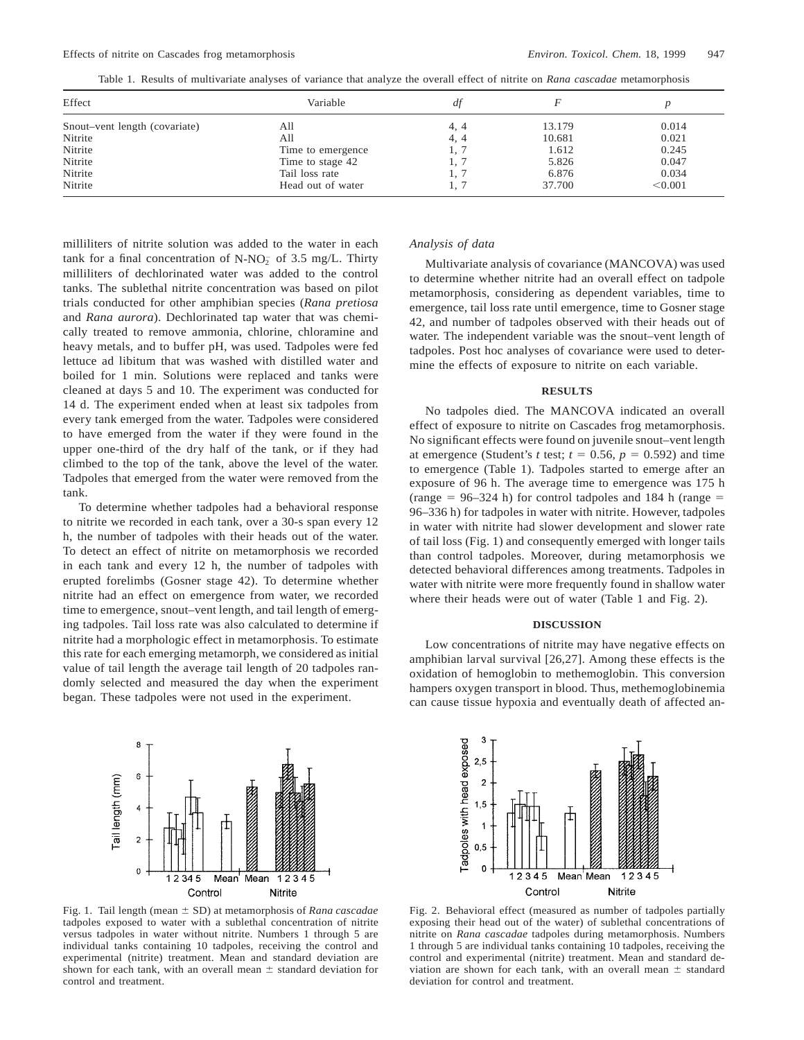Table 1. Results of multivariate analyses of variance that analyze the overall effect of nitrite on *Rana cascadae* metamorphosis

| Effect                        | Variable          | ď   |        |         |
|-------------------------------|-------------------|-----|--------|---------|
| Snout-vent length (covariate) | All               | 4.4 | 13.179 | 0.014   |
| Nitrite                       | All               | 4.4 | 10.681 | 0.021   |
| Nitrite                       | Time to emergence |     | 1.612  | 0.245   |
| Nitrite                       | Time to stage 42  |     | 5.826  | 0.047   |
| Nitrite                       | Tail loss rate    |     | 6.876  | 0.034   |
| Nitrite                       | Head out of water |     | 37.700 | < 0.001 |

milliliters of nitrite solution was added to the water in each tank for a final concentration of  $N-NO<sub>2</sub>$  of 3.5 mg/L. Thirty milliliters of dechlorinated water was added to the control tanks. The sublethal nitrite concentration was based on pilot trials conducted for other amphibian species (*Rana pretiosa* and *Rana aurora*). Dechlorinated tap water that was chemically treated to remove ammonia, chlorine, chloramine and heavy metals, and to buffer pH, was used. Tadpoles were fed lettuce ad libitum that was washed with distilled water and boiled for 1 min. Solutions were replaced and tanks were cleaned at days 5 and 10. The experiment was conducted for 14 d. The experiment ended when at least six tadpoles from every tank emerged from the water. Tadpoles were considered to have emerged from the water if they were found in the upper one-third of the dry half of the tank, or if they had climbed to the top of the tank, above the level of the water. Tadpoles that emerged from the water were removed from the tank.

To determine whether tadpoles had a behavioral response to nitrite we recorded in each tank, over a 30-s span every 12 h, the number of tadpoles with their heads out of the water. To detect an effect of nitrite on metamorphosis we recorded in each tank and every 12 h, the number of tadpoles with erupted forelimbs (Gosner stage 42). To determine whether nitrite had an effect on emergence from water, we recorded time to emergence, snout–vent length, and tail length of emerging tadpoles. Tail loss rate was also calculated to determine if nitrite had a morphologic effect in metamorphosis. To estimate this rate for each emerging metamorph, we considered as initial value of tail length the average tail length of 20 tadpoles randomly selected and measured the day when the experiment began. These tadpoles were not used in the experiment.

#### *Analysis of data*

Multivariate analysis of covariance (MANCOVA) was used to determine whether nitrite had an overall effect on tadpole metamorphosis, considering as dependent variables, time to emergence, tail loss rate until emergence, time to Gosner stage 42, and number of tadpoles observed with their heads out of water. The independent variable was the snout–vent length of tadpoles. Post hoc analyses of covariance were used to determine the effects of exposure to nitrite on each variable.

# **RESULTS**

No tadpoles died. The MANCOVA indicated an overall effect of exposure to nitrite on Cascades frog metamorphosis. No significant effects were found on juvenile snout–vent length at emergence (Student's *t* test;  $t = 0.56$ ,  $p = 0.592$ ) and time to emergence (Table 1). Tadpoles started to emerge after an exposure of 96 h. The average time to emergence was 175 h (range  $= 96-324$  h) for control tadpoles and 184 h (range  $=$ 96–336 h) for tadpoles in water with nitrite. However, tadpoles in water with nitrite had slower development and slower rate of tail loss (Fig. 1) and consequently emerged with longer tails than control tadpoles. Moreover, during metamorphosis we detected behavioral differences among treatments. Tadpoles in water with nitrite were more frequently found in shallow water where their heads were out of water (Table 1 and Fig. 2).

#### **DISCUSSION**

Low concentrations of nitrite may have negative effects on amphibian larval survival [26,27]. Among these effects is the oxidation of hemoglobin to methemoglobin. This conversion hampers oxygen transport in blood. Thus, methemoglobinemia can cause tissue hypoxia and eventually death of affected an-



Fig. 1. Tail length (mean  $\pm$  SD) at metamorphosis of *Rana cascadae* tadpoles exposed to water with a sublethal concentration of nitrite versus tadpoles in water without nitrite. Numbers 1 through 5 are individual tanks containing 10 tadpoles, receiving the control and experimental (nitrite) treatment. Mean and standard deviation are shown for each tank, with an overall mean  $\pm$  standard deviation for control and treatment.



Fig. 2. Behavioral effect (measured as number of tadpoles partially exposing their head out of the water) of sublethal concentrations of nitrite on *Rana cascadae* tadpoles during metamorphosis. Numbers 1 through 5 are individual tanks containing 10 tadpoles, receiving the control and experimental (nitrite) treatment. Mean and standard deviation are shown for each tank, with an overall mean  $\pm$  standard deviation for control and treatment.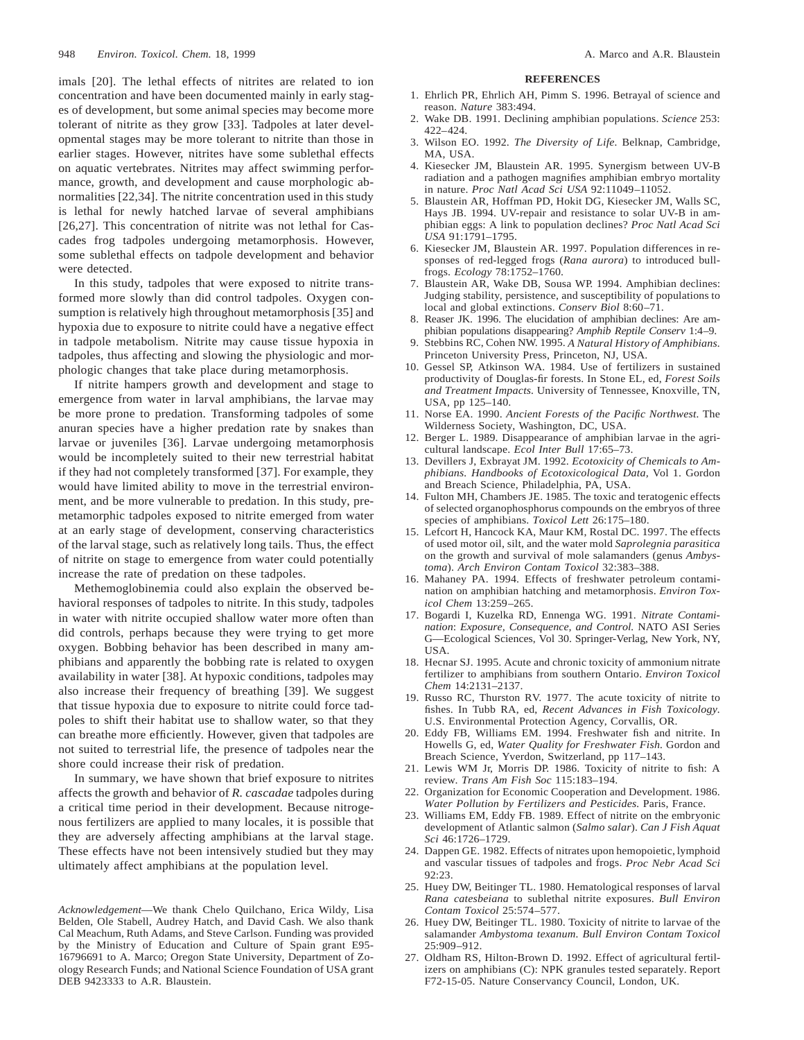imals [20]. The lethal effects of nitrites are related to ion concentration and have been documented mainly in early stages of development, but some animal species may become more tolerant of nitrite as they grow [33]. Tadpoles at later developmental stages may be more tolerant to nitrite than those in earlier stages. However, nitrites have some sublethal effects on aquatic vertebrates. Nitrites may affect swimming performance, growth, and development and cause morphologic abnormalities [22,34]. The nitrite concentration used in this study is lethal for newly hatched larvae of several amphibians [26,27]. This concentration of nitrite was not lethal for Cascades frog tadpoles undergoing metamorphosis. However, some sublethal effects on tadpole development and behavior were detected.

In this study, tadpoles that were exposed to nitrite transformed more slowly than did control tadpoles. Oxygen consumption is relatively high throughout metamorphosis [35] and hypoxia due to exposure to nitrite could have a negative effect in tadpole metabolism. Nitrite may cause tissue hypoxia in tadpoles, thus affecting and slowing the physiologic and morphologic changes that take place during metamorphosis.

If nitrite hampers growth and development and stage to emergence from water in larval amphibians, the larvae may be more prone to predation. Transforming tadpoles of some anuran species have a higher predation rate by snakes than larvae or juveniles [36]. Larvae undergoing metamorphosis would be incompletely suited to their new terrestrial habitat if they had not completely transformed [37]. For example, they would have limited ability to move in the terrestrial environment, and be more vulnerable to predation. In this study, premetamorphic tadpoles exposed to nitrite emerged from water at an early stage of development, conserving characteristics of the larval stage, such as relatively long tails. Thus, the effect of nitrite on stage to emergence from water could potentially increase the rate of predation on these tadpoles.

Methemoglobinemia could also explain the observed behavioral responses of tadpoles to nitrite. In this study, tadpoles in water with nitrite occupied shallow water more often than did controls, perhaps because they were trying to get more oxygen. Bobbing behavior has been described in many amphibians and apparently the bobbing rate is related to oxygen availability in water [38]. At hypoxic conditions, tadpoles may also increase their frequency of breathing [39]. We suggest that tissue hypoxia due to exposure to nitrite could force tadpoles to shift their habitat use to shallow water, so that they can breathe more efficiently. However, given that tadpoles are not suited to terrestrial life, the presence of tadpoles near the shore could increase their risk of predation.

In summary, we have shown that brief exposure to nitrites affects the growth and behavior of *R. cascadae* tadpoles during a critical time period in their development. Because nitrogenous fertilizers are applied to many locales, it is possible that they are adversely affecting amphibians at the larval stage. These effects have not been intensively studied but they may ultimately affect amphibians at the population level.

*Acknowledgement*—We thank Chelo Quilchano, Erica Wildy, Lisa Belden, Ole Stabell, Audrey Hatch, and David Cash. We also thank Cal Meachum, Ruth Adams, and Steve Carlson. Funding was provided by the Ministry of Education and Culture of Spain grant E95- 16796691 to A. Marco; Oregon State University, Department of Zoology Research Funds; and National Science Foundation of USA grant DEB 9423333 to A.R. Blaustein.

#### **REFERENCES**

- 1. Ehrlich PR, Ehrlich AH, Pimm S. 1996. Betrayal of science and reason. *Nature* 383:494.
- 2. Wake DB. 1991. Declining amphibian populations. *Science* 253: 422–424.
- 3. Wilson EO. 1992. *The Diversity of Life.* Belknap, Cambridge, MA, USA.
- 4. Kiesecker JM, Blaustein AR. 1995. Synergism between UV-B radiation and a pathogen magnifies amphibian embryo mortality in nature. *Proc Natl Acad Sci USA* 92:11049–11052.
- 5. Blaustein AR, Hoffman PD, Hokit DG, Kiesecker JM, Walls SC, Hays JB. 1994. UV-repair and resistance to solar UV-B in amphibian eggs: A link to population declines? *Proc Natl Acad Sci USA* 91:1791–1795.
- 6. Kiesecker JM, Blaustein AR. 1997. Population differences in responses of red-legged frogs (*Rana aurora*) to introduced bullfrogs. *Ecology* 78:1752–1760.
- 7. Blaustein AR, Wake DB, Sousa WP. 1994. Amphibian declines: Judging stability, persistence, and susceptibility of populations to local and global extinctions. *Conserv Biol* 8:60–71.
- 8. Reaser JK. 1996. The elucidation of amphibian declines: Are amphibian populations disappearing? *Amphib Reptile Conserv* 1:4–9.
- 9. Stebbins RC, Cohen NW. 1995. *A Natural History of Amphibians.* Princeton University Press, Princeton, NJ, USA.
- 10. Gessel SP, Atkinson WA. 1984. Use of fertilizers in sustained productivity of Douglas-fir forests. In Stone EL, ed, *Forest Soils and Treatment Impacts.* University of Tennessee, Knoxville, TN, USA, pp 125–140.
- 11. Norse EA. 1990. *Ancient Forests of the Pacific Northwest.* The Wilderness Society, Washington, DC, USA.
- 12. Berger L. 1989. Disappearance of amphibian larvae in the agricultural landscape. *Ecol Inter Bull* 17:65–73.
- 13. Devillers J, Exbrayat JM. 1992. *Ecotoxicity of Chemicals to Amphibians. Handbooks of Ecotoxicological Data,* Vol 1. Gordon and Breach Science, Philadelphia, PA, USA.
- 14. Fulton MH, Chambers JE. 1985. The toxic and teratogenic effects of selected organophosphorus compounds on the embryos of three species of amphibians. *Toxicol Lett* 26:175–180.
- 15. Lefcort H, Hancock KA, Maur KM, Rostal DC. 1997. The effects of used motor oil, silt, and the water mold *Saprolegnia parasitica* on the growth and survival of mole salamanders (genus *Ambystoma*). *Arch Environ Contam Toxicol* 32:383–388.
- 16. Mahaney PA. 1994. Effects of freshwater petroleum contamination on amphibian hatching and metamorphosis. *Environ Toxicol Chem* 13:259–265.
- 17. Bogardi I, Kuzelka RD, Ennenga WG. 1991. *Nitrate Contamination*: *Exposure, Consequence, and Control.* NATO ASI Series G—Ecological Sciences, Vol 30. Springer-Verlag, New York, NY, USA.
- 18. Hecnar SJ. 1995. Acute and chronic toxicity of ammonium nitrate fertilizer to amphibians from southern Ontario. *Environ Toxicol Chem* 14:2131–2137.
- 19. Russo RC, Thurston RV. 1977. The acute toxicity of nitrite to fishes. In Tubb RA, ed, *Recent Advances in Fish Toxicology.* U.S. Environmental Protection Agency, Corvallis, OR.
- 20. Eddy FB, Williams EM. 1994. Freshwater fish and nitrite. In Howells G, ed, *Water Quality for Freshwater Fish.* Gordon and Breach Science, Yverdon, Switzerland, pp 117–143.
- 21. Lewis WM Jr, Morris DP. 1986. Toxicity of nitrite to fish: A review. *Trans Am Fish Soc* 115:183–194.
- 22. Organization for Economic Cooperation and Development. 1986. *Water Pollution by Fertilizers and Pesticides.* Paris, France.
- 23. Williams EM, Eddy FB. 1989. Effect of nitrite on the embryonic development of Atlantic salmon (*Salmo salar*). *Can J Fish Aquat Sci* 46:1726–1729.
- 24. Dappen GE. 1982. Effects of nitrates upon hemopoietic, lymphoid and vascular tissues of tadpoles and frogs. *Proc Nebr Acad Sci* 92:23.
- 25. Huey DW, Beitinger TL. 1980. Hematological responses of larval *Rana catesbeiana* to sublethal nitrite exposures. *Bull Environ Contam Toxicol* 25:574–577.
- 26. Huey DW, Beitinger TL. 1980. Toxicity of nitrite to larvae of the salamander *Ambystoma texanum. Bull Environ Contam Toxicol* 25:909–912.
- 27. Oldham RS, Hilton-Brown D. 1992. Effect of agricultural fertilizers on amphibians (C): NPK granules tested separately. Report F72-15-05. Nature Conservancy Council, London, UK.